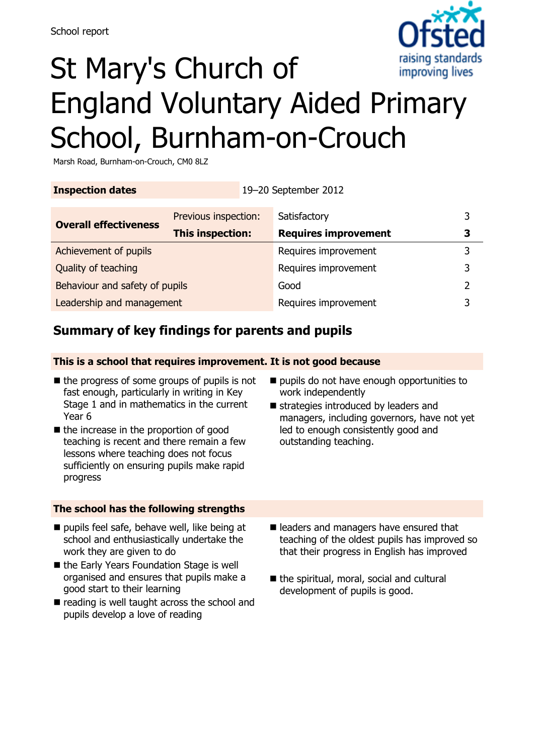

# St Mary's Church of England Voluntary Aided Primary School, Burnham-on-Crouch

Marsh Road, Burnham-on-Crouch, CM0 8LZ

| <b>Inspection dates</b>        | 19-20 September 2012 |                             |   |
|--------------------------------|----------------------|-----------------------------|---|
| <b>Overall effectiveness</b>   | Previous inspection: | Satisfactory                | 3 |
|                                | This inspection:     | <b>Requires improvement</b> | 3 |
| Achievement of pupils          |                      | Requires improvement        | 3 |
| Quality of teaching            |                      | Requires improvement        | 3 |
| Behaviour and safety of pupils |                      | Good                        | 2 |
| Leadership and management      |                      | Requires improvement        |   |

### **Summary of key findings for parents and pupils**

**This is a school that requires improvement. It is not good because**

- $\blacksquare$  the progress of some groups of pupils is not fast enough, particularly in writing in Key Stage 1 and in mathematics in the current Year 6
- the increase in the proportion of good teaching is recent and there remain a few lessons where teaching does not focus sufficiently on ensuring pupils make rapid progress
- pupils do not have enough opportunities to work independently
- strategies introduced by leaders and managers, including governors, have not yet led to enough consistently good and outstanding teaching.

### **The school has the following strengths**

- $\blacksquare$  pupils feel safe, behave well, like being at school and enthusiastically undertake the work they are given to do
- the Early Years Foundation Stage is well organised and ensures that pupils make a good start to their learning
- $\blacksquare$  reading is well taught across the school and pupils develop a love of reading
- eleaders and managers have ensured that teaching of the oldest pupils has improved so that their progress in English has improved
- $\blacksquare$  the spiritual, moral, social and cultural development of pupils is good.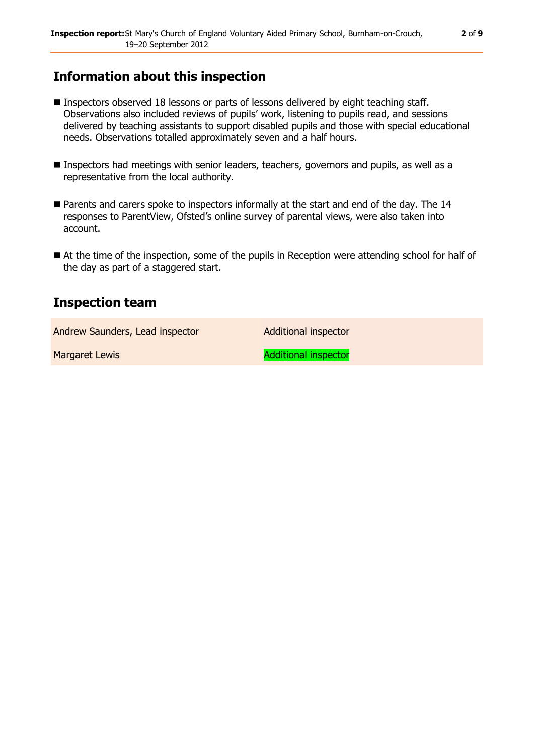### **Information about this inspection**

- Inspectors observed 18 lessons or parts of lessons delivered by eight teaching staff. Observations also included reviews of pupils' work, listening to pupils read, and sessions delivered by teaching assistants to support disabled pupils and those with special educational needs. Observations totalled approximately seven and a half hours.
- Inspectors had meetings with senior leaders, teachers, governors and pupils, as well as a representative from the local authority.
- Parents and carers spoke to inspectors informally at the start and end of the day. The 14 responses to ParentView, Ofsted's online survey of parental views, were also taken into account.
- At the time of the inspection, some of the pupils in Reception were attending school for half of the day as part of a staggered start.

### **Inspection team**

Andrew Saunders, Lead inspector **Additional inspector** 

Margaret Lewis **Additional inspector**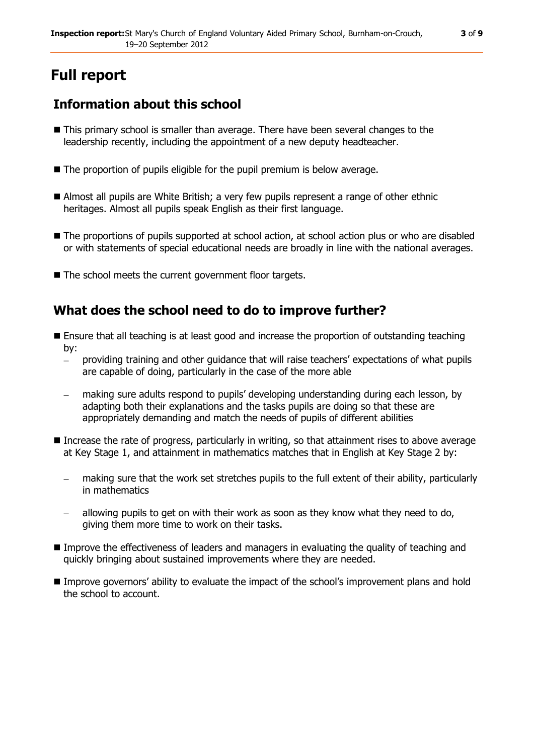## **Full report**

### **Information about this school**

- This primary school is smaller than average. There have been several changes to the leadership recently, including the appointment of a new deputy headteacher.
- The proportion of pupils eligible for the pupil premium is below average.
- Almost all pupils are White British; a very few pupils represent a range of other ethnic heritages. Almost all pupils speak English as their first language.
- $\blacksquare$  The proportions of pupils supported at school action, at school action plus or who are disabled or with statements of special educational needs are broadly in line with the national averages.
- The school meets the current government floor targets.

### **What does the school need to do to improve further?**

- **E** Ensure that all teaching is at least good and increase the proportion of outstanding teaching by:
	- providing training and other guidance that will raise teachers' expectations of what pupils are capable of doing, particularly in the case of the more able
	- making sure adults respond to pupils' developing understanding during each lesson, by adapting both their explanations and the tasks pupils are doing so that these are appropriately demanding and match the needs of pupils of different abilities
- Increase the rate of progress, particularly in writing, so that attainment rises to above average at Key Stage 1, and attainment in mathematics matches that in English at Key Stage 2 by:
	- making sure that the work set stretches pupils to the full extent of their ability, particularly in mathematics
	- allowing pupils to get on with their work as soon as they know what they need to do, giving them more time to work on their tasks.
- Improve the effectiveness of leaders and managers in evaluating the quality of teaching and quickly bringing about sustained improvements where they are needed.
- Improve governors' ability to evaluate the impact of the school's improvement plans and hold the school to account.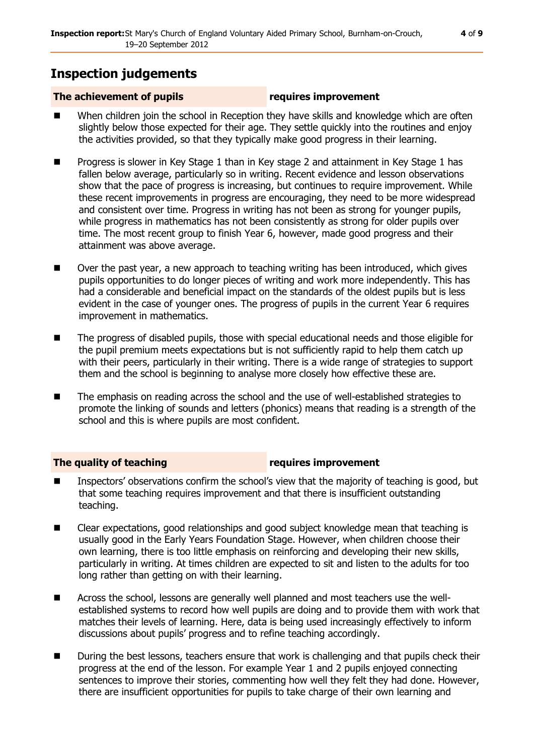### **Inspection judgements**

#### **The achievement of pupils requires improvement**

- When children join the school in Reception they have skills and knowledge which are often slightly below those expected for their age. They settle quickly into the routines and enjoy the activities provided, so that they typically make good progress in their learning.
- Progress is slower in Key Stage 1 than in Key stage 2 and attainment in Key Stage 1 has fallen below average, particularly so in writing. Recent evidence and lesson observations show that the pace of progress is increasing, but continues to require improvement. While these recent improvements in progress are encouraging, they need to be more widespread and consistent over time. Progress in writing has not been as strong for younger pupils, while progress in mathematics has not been consistently as strong for older pupils over time. The most recent group to finish Year 6, however, made good progress and their attainment was above average.
- Over the past year, a new approach to teaching writing has been introduced, which gives pupils opportunities to do longer pieces of writing and work more independently. This has had a considerable and beneficial impact on the standards of the oldest pupils but is less evident in the case of younger ones. The progress of pupils in the current Year 6 requires improvement in mathematics.
- The progress of disabled pupils, those with special educational needs and those eligible for the pupil premium meets expectations but is not sufficiently rapid to help them catch up with their peers, particularly in their writing. There is a wide range of strategies to support them and the school is beginning to analyse more closely how effective these are.
- The emphasis on reading across the school and the use of well-established strategies to promote the linking of sounds and letters (phonics) means that reading is a strength of the school and this is where pupils are most confident.

### **The quality of teaching requires improvement**

- Inspectors' observations confirm the school's view that the majority of teaching is good, but that some teaching requires improvement and that there is insufficient outstanding teaching.
- Clear expectations, good relationships and good subject knowledge mean that teaching is usually good in the Early Years Foundation Stage. However, when children choose their own learning, there is too little emphasis on reinforcing and developing their new skills, particularly in writing. At times children are expected to sit and listen to the adults for too long rather than getting on with their learning.
- Across the school, lessons are generally well planned and most teachers use the wellestablished systems to record how well pupils are doing and to provide them with work that matches their levels of learning. Here, data is being used increasingly effectively to inform discussions about pupils' progress and to refine teaching accordingly.
- During the best lessons, teachers ensure that work is challenging and that pupils check their progress at the end of the lesson. For example Year 1 and 2 pupils enjoyed connecting sentences to improve their stories, commenting how well they felt they had done. However, there are insufficient opportunities for pupils to take charge of their own learning and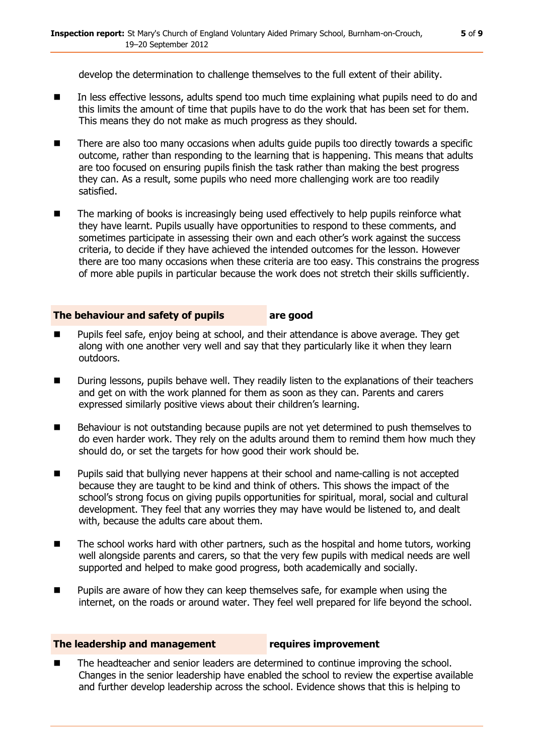develop the determination to challenge themselves to the full extent of their ability.

- In less effective lessons, adults spend too much time explaining what pupils need to do and this limits the amount of time that pupils have to do the work that has been set for them. This means they do not make as much progress as they should.
- There are also too many occasions when adults quide pupils too directly towards a specific outcome, rather than responding to the learning that is happening. This means that adults are too focused on ensuring pupils finish the task rather than making the best progress they can. As a result, some pupils who need more challenging work are too readily satisfied.
- The marking of books is increasingly being used effectively to help pupils reinforce what they have learnt. Pupils usually have opportunities to respond to these comments, and sometimes participate in assessing their own and each other's work against the success criteria, to decide if they have achieved the intended outcomes for the lesson. However there are too many occasions when these criteria are too easy. This constrains the progress of more able pupils in particular because the work does not stretch their skills sufficiently.

#### **The behaviour and safety of pupils are good**

- Pupils feel safe, enjoy being at school, and their attendance is above average. They get along with one another very well and say that they particularly like it when they learn outdoors.
- During lessons, pupils behave well. They readily listen to the explanations of their teachers and get on with the work planned for them as soon as they can. Parents and carers expressed similarly positive views about their children's learning.
- Behaviour is not outstanding because pupils are not yet determined to push themselves to do even harder work. They rely on the adults around them to remind them how much they should do, or set the targets for how good their work should be.
- **Pupils said that bullying never happens at their school and name-calling is not accepted** because they are taught to be kind and think of others. This shows the impact of the school's strong focus on giving pupils opportunities for spiritual, moral, social and cultural development. They feel that any worries they may have would be listened to, and dealt with, because the adults care about them.
- The school works hard with other partners, such as the hospital and home tutors, working well alongside parents and carers, so that the very few pupils with medical needs are well supported and helped to make good progress, both academically and socially.
- Pupils are aware of how they can keep themselves safe, for example when using the internet, on the roads or around water. They feel well prepared for life beyond the school.

#### **The leadership and management requires improvement**

■ The headteacher and senior leaders are determined to continue improving the school. Changes in the senior leadership have enabled the school to review the expertise available and further develop leadership across the school. Evidence shows that this is helping to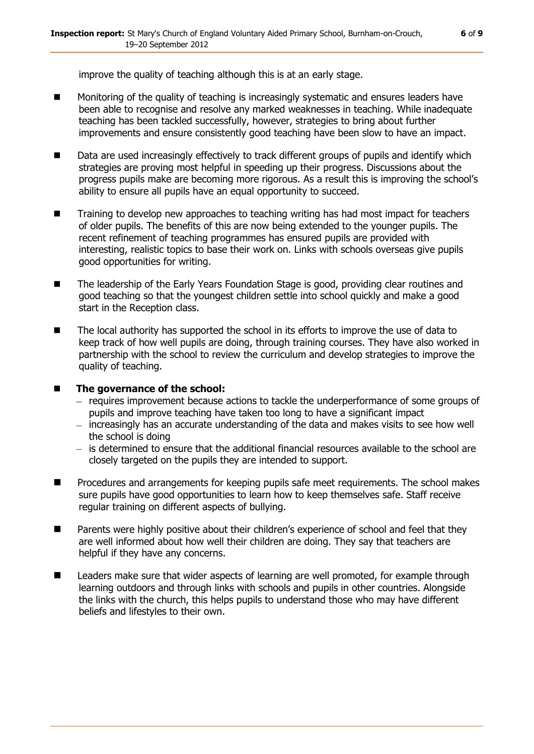improve the quality of teaching although this is at an early stage.

- Monitoring of the quality of teaching is increasingly systematic and ensures leaders have been able to recognise and resolve any marked weaknesses in teaching. While inadequate teaching has been tackled successfully, however, strategies to bring about further improvements and ensure consistently good teaching have been slow to have an impact.
- Data are used increasingly effectively to track different groups of pupils and identify which strategies are proving most helpful in speeding up their progress. Discussions about the progress pupils make are becoming more rigorous. As a result this is improving the school's ability to ensure all pupils have an equal opportunity to succeed.
- Training to develop new approaches to teaching writing has had most impact for teachers of older pupils. The benefits of this are now being extended to the younger pupils. The recent refinement of teaching programmes has ensured pupils are provided with interesting, realistic topics to base their work on. Links with schools overseas give pupils good opportunities for writing.
- The leadership of the Early Years Foundation Stage is good, providing clear routines and good teaching so that the youngest children settle into school quickly and make a good start in the Reception class.
- The local authority has supported the school in its efforts to improve the use of data to keep track of how well pupils are doing, through training courses. They have also worked in partnership with the school to review the curriculum and develop strategies to improve the quality of teaching.

#### ■ The governance of the school:

- requires improvement because actions to tackle the underperformance of some groups of pupils and improve teaching have taken too long to have a significant impact
- $-$  increasingly has an accurate understanding of the data and makes visits to see how well the school is doing
- $-$  is determined to ensure that the additional financial resources available to the school are closely targeted on the pupils they are intended to support.
- **Procedures and arrangements for keeping pupils safe meet requirements. The school makes** sure pupils have good opportunities to learn how to keep themselves safe. Staff receive regular training on different aspects of bullying.
- Parents were highly positive about their children's experience of school and feel that they are well informed about how well their children are doing. They say that teachers are helpful if they have any concerns.
- Leaders make sure that wider aspects of learning are well promoted, for example through learning outdoors and through links with schools and pupils in other countries. Alongside the links with the church, this helps pupils to understand those who may have different beliefs and lifestyles to their own.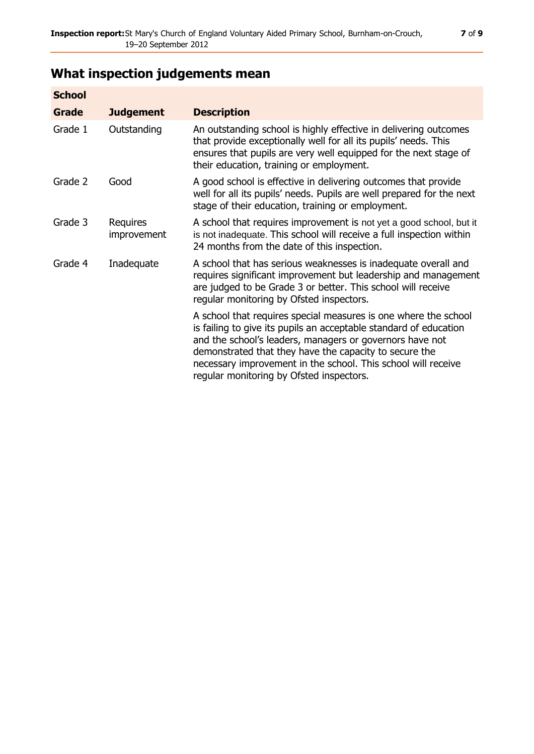## **What inspection judgements mean**

| <b>School</b> |                                |                                                                                                                                                                                                                                                                                                                                                                         |
|---------------|--------------------------------|-------------------------------------------------------------------------------------------------------------------------------------------------------------------------------------------------------------------------------------------------------------------------------------------------------------------------------------------------------------------------|
| Grade         | <b>Judgement</b>               | <b>Description</b>                                                                                                                                                                                                                                                                                                                                                      |
| Grade 1       | Outstanding                    | An outstanding school is highly effective in delivering outcomes<br>that provide exceptionally well for all its pupils' needs. This<br>ensures that pupils are very well equipped for the next stage of<br>their education, training or employment.                                                                                                                     |
| Grade 2       | Good                           | A good school is effective in delivering outcomes that provide<br>well for all its pupils' needs. Pupils are well prepared for the next<br>stage of their education, training or employment.                                                                                                                                                                            |
| Grade 3       | Requires<br><i>improvement</i> | A school that requires improvement is not yet a good school, but it<br>is not inadequate. This school will receive a full inspection within<br>24 months from the date of this inspection.                                                                                                                                                                              |
| Grade 4       | Inadequate                     | A school that has serious weaknesses is inadequate overall and<br>requires significant improvement but leadership and management<br>are judged to be Grade 3 or better. This school will receive<br>regular monitoring by Ofsted inspectors.                                                                                                                            |
|               |                                | A school that requires special measures is one where the school<br>is failing to give its pupils an acceptable standard of education<br>and the school's leaders, managers or governors have not<br>demonstrated that they have the capacity to secure the<br>necessary improvement in the school. This school will receive<br>regular monitoring by Ofsted inspectors. |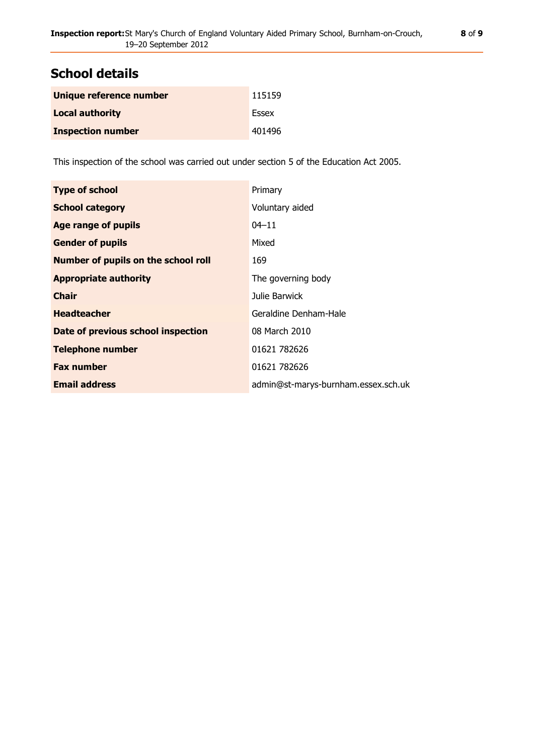### **School details**

| Unique reference number  | 115159 |
|--------------------------|--------|
| <b>Local authority</b>   | Essex  |
| <b>Inspection number</b> | 401496 |

This inspection of the school was carried out under section 5 of the Education Act 2005.

| <b>Type of school</b>                      | Primary                             |
|--------------------------------------------|-------------------------------------|
| <b>School category</b>                     | Voluntary aided                     |
| Age range of pupils                        | $04 - 11$                           |
| <b>Gender of pupils</b>                    | Mixed                               |
| <b>Number of pupils on the school roll</b> | 169                                 |
| <b>Appropriate authority</b>               | The governing body                  |
| <b>Chair</b>                               | Julie Barwick                       |
| <b>Headteacher</b>                         | Geraldine Denham-Hale               |
| Date of previous school inspection         | 08 March 2010                       |
| <b>Telephone number</b>                    | 01621 782626                        |
| <b>Fax number</b>                          | 01621 782626                        |
| <b>Email address</b>                       | admin@st-marys-burnham.essex.sch.uk |